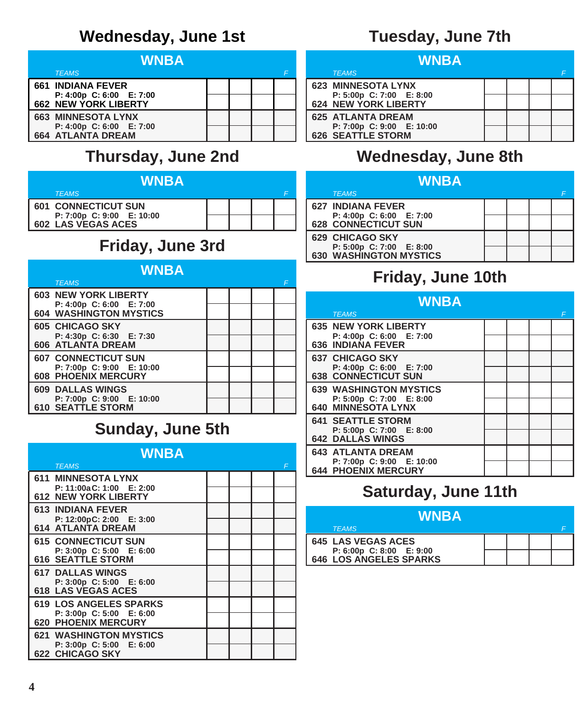# **Wednesday, June 1st**

| WNBA |                                               |  |  |  |  |
|------|-----------------------------------------------|--|--|--|--|
|      | <b>TEAMS</b>                                  |  |  |  |  |
|      | <b>661 INDIANA FEVER</b>                      |  |  |  |  |
|      | P: 4:00p C: 6:00 E: 7:00                      |  |  |  |  |
|      | <b>662 NEW YORK LIBERTY</b>                   |  |  |  |  |
|      | <b>663 MINNESOTA LYNX</b>                     |  |  |  |  |
|      | P: 4:00p C: 6:00 E: 7:00<br>664 ATLANTA DREAM |  |  |  |  |
|      |                                               |  |  |  |  |

## **Thursday, June 2nd**

| <b>WNBA.</b>                                    |  |  |  |  |  |  |
|-------------------------------------------------|--|--|--|--|--|--|
| <b>TEAMS</b>                                    |  |  |  |  |  |  |
| <b>601 CONNECTICUT SUN</b>                      |  |  |  |  |  |  |
| P: 7:00p C: 9:00 E: 10:00<br>602 LAS VEGAS ACES |  |  |  |  |  |  |

# **Friday, June 3rd**

| <b>WNBA</b><br><b>TEAMS</b>                                                           |  | F |
|---------------------------------------------------------------------------------------|--|---|
| <b>603 NEW YORK LIBERTY</b><br>P: 4:00p C: 6:00 E: 7:00<br>604 WASHINGTON MYSTICS     |  |   |
| <b>605 CHICAGO SKY</b><br>P: 4:30p C: 6:30 E: 7:30<br>606 ATLANTA DREAM               |  |   |
| <b>607 CONNECTICUT SUN</b><br>P: 7:00p C: 9:00 E: 10:00<br><b>608 PHOENIX MERCURY</b> |  |   |
| <b>609 DALLAS WINGS</b><br>P: 7:00p C: 9:00 E: 10:00<br><b>610 SEATTLE STORM</b>      |  |   |

# **Sunday, June 5th**

| <b>WNBA</b>                                            |  |   |
|--------------------------------------------------------|--|---|
| <b>TEAMS</b>                                           |  | F |
| <b>611 MINNESOTA LYNX</b><br>P: 11:00a C: 1:00 E: 2:00 |  |   |
| <b>612 NEW YORK LIBERTY</b>                            |  |   |
| <b>613 INDIANA FEVER</b><br>P: 12:00pC: 2:00 E: 3:00   |  |   |
| <b>614 ATLANTA DREAM</b>                               |  |   |
| <b>615 CONNECTICUT SUN</b><br>P: 3:00p C: 5:00 E: 6:00 |  |   |
| <b>616 SEATTLE STORM</b>                               |  |   |
| <b>617 DALLAS WINGS</b>                                |  |   |
| P: 3:00p C: 5:00 E: 6:00<br><b>618 LAS VEGAS ACES</b>  |  |   |
| <b>619 LOS ANGELES SPARKS</b>                          |  |   |
| P: 3:00p C: 5:00 E: 6:00<br><b>620 PHOENIX MERCURY</b> |  |   |
| <b>621 WASHINGTON MYSTICS</b>                          |  |   |
| P: 3:00p C: 5:00 E: 6:00<br><b>622 CHICAGO SKY</b>     |  |   |

# **Tuesday, June 7th**

| <b>WNBA</b>                                              |  |  |  |  |  |
|----------------------------------------------------------|--|--|--|--|--|
| <b>TEAMS</b>                                             |  |  |  |  |  |
| 623 MINNESOTA LYNX                                       |  |  |  |  |  |
| P: 5:00p  C: 7:00    E: 8:00<br>   624  NEW YORK LIBERTY |  |  |  |  |  |
| 625 ATLANTA DREAM                                        |  |  |  |  |  |
| P: 7:00p C: 9:00 E: 10:00<br>626 SEATTLE STORM           |  |  |  |  |  |

# **Wednesday, June 8th**

| <b>WNBA</b>                                               |  |  |  |  |  |
|-----------------------------------------------------------|--|--|--|--|--|
| <b>TEAMS</b>                                              |  |  |  |  |  |
| <b>627 INDIANA FEVER</b><br>P: 4:00p C: 6:00 E: 7:00      |  |  |  |  |  |
| <b>628 CONNECTICUT SUN</b>                                |  |  |  |  |  |
| <b>629 CHICAGO SKY</b>                                    |  |  |  |  |  |
| P: 5:00p C: 7:00 E: 8:00<br><b>630 WASHINGTON MYSTICS</b> |  |  |  |  |  |

## **Friday, June 10th**

| WNBA |                                                         |  |  |  |   |
|------|---------------------------------------------------------|--|--|--|---|
|      | <b>TEAMS</b>                                            |  |  |  | F |
|      | <b>635 NEW YORK LIBERTY</b><br>P: 4:00p C: 6:00 E: 7:00 |  |  |  |   |
|      | <b>636 INDIANA FEVER</b>                                |  |  |  |   |
|      | <b>637 CHICAGO SKY</b>                                  |  |  |  |   |
|      | P: 4:00p C: 6:00 E: 7:00<br><b>638 CONNECTICUT SUN</b>  |  |  |  |   |
|      | <b>639 WASHINGTON MYSTICS</b>                           |  |  |  |   |
|      | P: 5:00p C: 7:00 E: 8:00<br><b>640 MINNESOTA LYNX</b>   |  |  |  |   |
|      | <b>641 SEATTLE STORM</b>                                |  |  |  |   |
|      | P: 5:00p C: 7:00 E: 8:00<br><b>642 DALLAS WINGS</b>     |  |  |  |   |
|      | <b>643 ATLANTA DREAM</b>                                |  |  |  |   |
|      | P: 7:00p C: 9:00 E: 10:00<br><b>644 PHOENIX MERCURY</b> |  |  |  |   |

## **Saturday, June 11th**

| <b>WNBA</b>                                           |  |  |  |  |  |  |
|-------------------------------------------------------|--|--|--|--|--|--|
| <b>TEAMS</b>                                          |  |  |  |  |  |  |
| <b>645 LAS VEGAS ACES</b><br>P: 6:00p C: 8:00 E: 9:00 |  |  |  |  |  |  |
| <b>646 LOS ANGELES SPARKS</b>                         |  |  |  |  |  |  |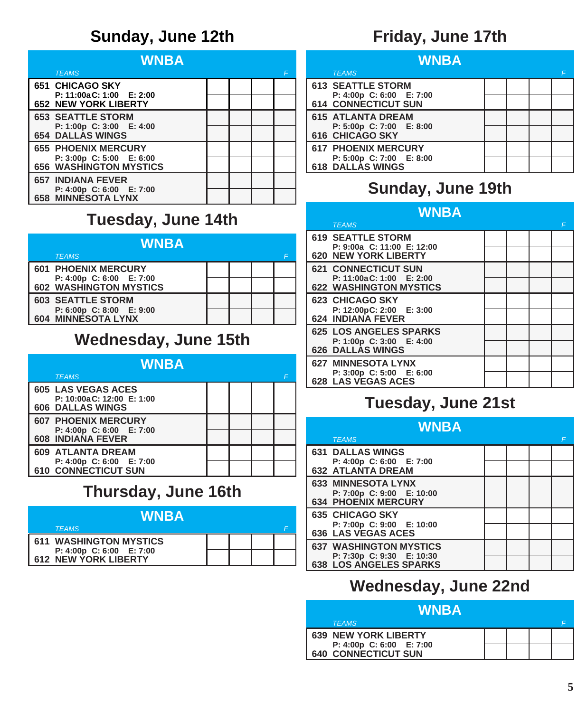#### **Sunday, June 12th**

| WNBA                                                        |  |  |  |   |  |
|-------------------------------------------------------------|--|--|--|---|--|
| <b>TEAMS</b>                                                |  |  |  | F |  |
| <b>651 CHICAGO SKY</b>                                      |  |  |  |   |  |
| $P: 11:00aC: 1:00$ $E: 2:00$<br><b>652 NEW YORK LIBERTY</b> |  |  |  |   |  |
| <b>653 SEATTLE STORM</b>                                    |  |  |  |   |  |
| P: 1:00p C: 3:00 E: 4:00                                    |  |  |  |   |  |
| <b>654 DALLAS WINGS</b>                                     |  |  |  |   |  |
| <b>655 PHOENIX MERCURY</b>                                  |  |  |  |   |  |
| P: 3:00p C: 5:00 E: 6:00<br>656 WASHINGTON MYSTICS          |  |  |  |   |  |
| <b>657 INDIANA FEVER</b>                                    |  |  |  |   |  |
| P: 4:00p C: 6:00 E: 7:00<br><b>658 MINNESOTA LYNX</b>       |  |  |  |   |  |

#### **Tuesday, June 14th**

| WNBA |                                                |  |  |  |  |  |
|------|------------------------------------------------|--|--|--|--|--|
|      | <b>TEAMS</b>                                   |  |  |  |  |  |
|      | <b>601 PHOENIX MERCURY</b>                     |  |  |  |  |  |
|      | P: 4:00p C: 6:00 E: 7:00                       |  |  |  |  |  |
|      | <b>602 WASHINGTON MYSTICS</b>                  |  |  |  |  |  |
|      | <b>603 SEATTLE STORM</b>                       |  |  |  |  |  |
|      |                                                |  |  |  |  |  |
|      | P: 6:00p C: 8:00 E: 9:00<br>604 MINNESOTA LYNX |  |  |  |  |  |

#### **Wednesday, June 15th**

| WNBA                                            |  |  |  |  |  |
|-------------------------------------------------|--|--|--|--|--|
| <b>TEAMS</b>                                    |  |  |  |  |  |
| <b>605 LAS VEGAS ACES</b>                       |  |  |  |  |  |
| P: 10:00a C: 12:00 E: 1:00                      |  |  |  |  |  |
| <b>606 DALLAS WINGS</b>                         |  |  |  |  |  |
| <b>607 PHOENIX MERCURY</b>                      |  |  |  |  |  |
| P: 4:00p C: 6:00 E: 7:00                        |  |  |  |  |  |
| 608 INDIANA FEVER                               |  |  |  |  |  |
| <b>609 ATLANTA DREAM</b>                        |  |  |  |  |  |
| P: 4:00p C: 6:00 E: 7:00<br>610 CONNECTICUT SUN |  |  |  |  |  |
|                                                 |  |  |  |  |  |

#### **Thursday, June 16th**

| <b>WNBA</b>                                      |  |  |  |  |  |  |
|--------------------------------------------------|--|--|--|--|--|--|
| <b>TEAMS</b>                                     |  |  |  |  |  |  |
| <b>611 WASHINGTON MYSTICS</b>                    |  |  |  |  |  |  |
| P: 4:00p C: 6:00 E: 7:00<br>612 NEW YORK LIBERTY |  |  |  |  |  |  |

#### **Friday, June 17th**

| WNBA                                            |  |  |  |   |  |
|-------------------------------------------------|--|--|--|---|--|
| <b>TEAMS</b>                                    |  |  |  | F |  |
| <b>613 SEATTLE STORM</b>                        |  |  |  |   |  |
| P: 4:00p C: 6:00 E: 7:00<br>614 CONNECTICUT SUN |  |  |  |   |  |
| <b>615 ATLANTA DREAM</b>                        |  |  |  |   |  |
| P: 5:00p C: 7:00 E: 8:00<br>616 CHICAGO SKY     |  |  |  |   |  |
| <b>617 PHOENIX MERCURY</b>                      |  |  |  |   |  |
| P: 5:00p C: 7:00 E: 8:00<br>618 DALLAS WINGS    |  |  |  |   |  |

#### **Sunday, June 19th**

| WNBA                                                      |  |  |  |   |
|-----------------------------------------------------------|--|--|--|---|
| <b>TEAMS</b>                                              |  |  |  | F |
| <b>619 SEATTLE STORM</b>                                  |  |  |  |   |
| P: 9:00a C: 11:00 E: 12:00<br><b>620 NEW YORK LIBERTY</b> |  |  |  |   |
| <b>621 CONNECTICUT SUN</b>                                |  |  |  |   |
| P: 11:00aC: 1:00 E: 2:00<br><b>622 WASHINGTON MYSTICS</b> |  |  |  |   |
| 623 CHICAGO SKY                                           |  |  |  |   |
| P: 12:00pC: 2:00 E: 3:00<br><b>624 INDIANA FEVER</b>      |  |  |  |   |
| <b>625 LOS ANGELES SPARKS</b>                             |  |  |  |   |
| P: 1:00p C: 3:00 E: 4:00<br><b>626 DALLAS WINGS</b>       |  |  |  |   |
| <b>627 MINNESOTA LYNX</b>                                 |  |  |  |   |
| P: 3:00p C: 5:00 E: 6:00<br><b>628 LAS VEGAS ACES</b>     |  |  |  |   |

#### **Tuesday, June 21st**

| WNBA |                                                         |  |  |   |
|------|---------------------------------------------------------|--|--|---|
|      | <b>TEAMS</b>                                            |  |  | F |
|      | <b>631 DALLAS WINGS</b>                                 |  |  |   |
|      | P: 4:00p C: 6:00 E: 7:00<br>632 ATLANTA DREAM           |  |  |   |
|      | <b>633 MINNESOTA LYNX</b>                               |  |  |   |
|      | P: 7:00p C: 9:00 E: 10:00<br><b>634 PHOENIX MERCURY</b> |  |  |   |
|      | <b>635 CHICAGO SKY</b>                                  |  |  |   |
|      | P: 7:00p C: 9:00 E: 10:00<br><b>636 LAS VEGAS ACES</b>  |  |  |   |
|      | <b>637 WASHINGTON MYSTICS</b>                           |  |  |   |
|      | P: 7:30p C: 9:30 E: 10:30<br>638 LOS ANGELES SPARKS     |  |  |   |

#### **Wednesday, June 22nd**

| <b>WNBA</b>                                     |  |  |  |  |
|-------------------------------------------------|--|--|--|--|
| <b>TEAMS</b>                                    |  |  |  |  |
| <b>639 NEW YORK LIBERTY</b>                     |  |  |  |  |
| P: 4:00p C: 6:00 E: 7:00<br>640 CONNECTICUT SUN |  |  |  |  |